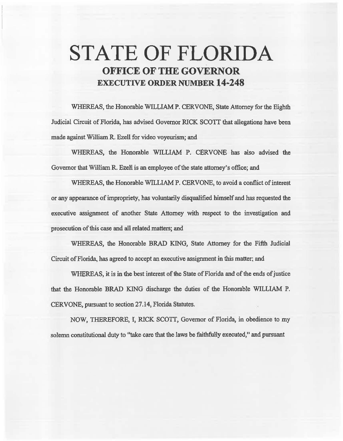# **STATE OF FLORIDA OFFICE OF THE GOVERNOR EXECUTIVE ORDER NUMBER 14-248**

WHEREAS, the Honorable WILLIAM P. CERVONE, State Attorney for the Eighth Judicial Circuit of Florida, has advised Governor RICK SCOTI that allegations have been made against William R. Ezell for video voyeurism; and

WHEREAS, the Honorable WILLIAM P. CERVONE has also advised the Governor that William R. Ezell is an employee of the state attorney's office; and

WHEREAS, the Honorable WILLIAM P. CERVONE, to avoid a conflict of interest or any appearance of impropriety, has voluntarily disqualified himself and has requested the executive assignment of another State Attorney with respect to the investigation and prosecution of this case and all related matters; and

WHEREAS, the Honorable BRAD KING, State Attorney for the Fifth Judicial Circuit of Florida, has agreed to accept an executive assignment in this matter; and

WHEREAS, it is in the best interest of the State of Florida and of the ends of justice that the Honorable BRAD KING discharge the duties of the Honorable WILLIAM P. CERVONE, pursuant to section 27.14, Florida Statutes.

NOW, THEREFORE, I, RICK SCOTI, Governor of Florida, in obedience to my solemn constitutional duty to "take care that the laws be faithfully executed," and pursuant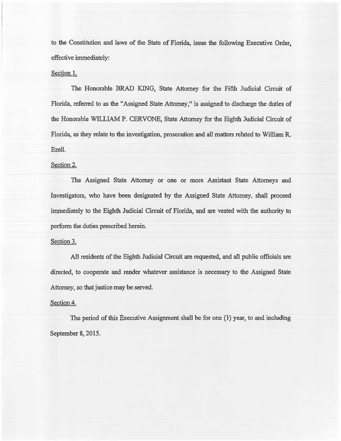to the Constitution and laws of the State of Florida, issue the following Executive Order, effective immediately:

#### Section I.

The Honorable BRAD KING, State Attorney for the Fifth Judicial Circuit of Florida, referred to as the "Assigned State Attorney," is assigned to discharge the duties of the Honorable WILLIAM P. CERVONE, State Attorney for the Eighth Judicial Circuit of Florida, *as* they relate to the investigation, prosecution and all matters related to William R. Ezell.

#### Section 2.

The Assigned State Attorney or one or more Assistant State Attorneys and Investigators, who have been designated by the Assigned State Attorney, shall proceed immediately to the Eighth Judicial Circuit of Florida, and are vested with the authority to perform the duties prescribed herein.

### Section 3.

AU residents of the Eighth Judicial Circuit are requested, and al1 public officials are directed, to cooperate and render whatever assistance is necessary to the Assigned State Attorney, so that justice may be served.

## Section 4.

The period of this Executive Assignment shall be for one (1) year, to and including September 8, 2015.